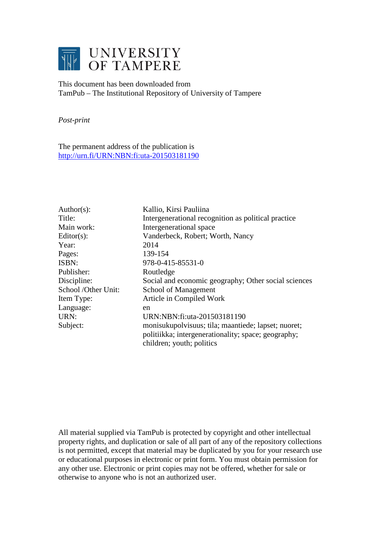

This document has been downloaded from TamPub – The Institutional Repository of University of Tampere

*Post-print*

The permanent address of the publication is <http://urn.fi/URN:NBN:fi:uta-201503181190>

| Author(s):          | Kallio, Kirsi Pauliina                               |
|---------------------|------------------------------------------------------|
| Title:              | Intergenerational recognition as political practice  |
| Main work:          | Intergenerational space                              |
| $Editor(s)$ :       | Vanderbeck, Robert; Worth, Nancy                     |
| Year:               | 2014                                                 |
| Pages:              | 139-154                                              |
| ISBN:               | 978-0-415-85531-0                                    |
| Publisher:          | Routledge                                            |
| Discipline:         | Social and economic geography; Other social sciences |
| School /Other Unit: | School of Management                                 |
| Item Type:          | Article in Compiled Work                             |
| Language:           | en                                                   |
| URN:                | URN:NBN:fi:uta-201503181190                          |
| Subject:            | monisukupolvisuus; tila; maantiede; lapset; nuoret;  |
|                     | politiikka; intergenerationality; space; geography;  |
|                     | children; youth; politics                            |

All material supplied via TamPub is protected by copyright and other intellectual property rights, and duplication or sale of all part of any of the repository collections is not permitted, except that material may be duplicated by you for your research use or educational purposes in electronic or print form. You must obtain permission for any other use. Electronic or print copies may not be offered, whether for sale or otherwise to anyone who is not an authorized user.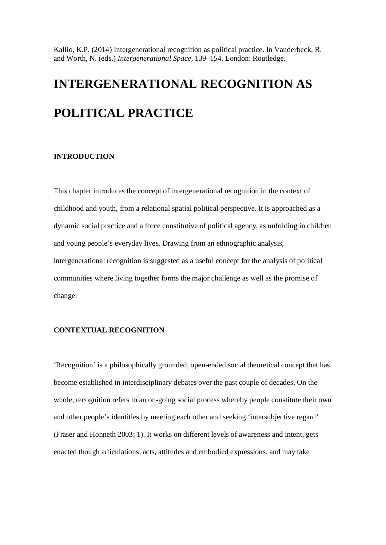# **INTERGENERATIONAL RECOGNITION AS POLITICAL PRACTICE**

### **INTRODUCTION**

This chapter introduces the concept of intergenerational recognition in the context of childhood and youth, from a relational spatial political perspective. It is approached as a dynamic social practice and a force constitutive of political agency, as unfolding in children and young people's everyday lives. Drawing from an ethnographic analysis, intergenerational recognition is suggested as a useful concept for the analysis of political communities where living together forms the major challenge as well as the promise of change.

# **CONTEXTUAL RECOGNITION**

'Recognition' is a philosophically grounded, open-ended social theoretical concept that has become established in interdisciplinary debates over the past couple of decades. On the whole, recognition refers to an on-going social process whereby people constitute their own and other people's identities by meeting each other and seeking 'intersubjective regard' (Fraser and Honneth 2003: 1). It works on different levels of awareness and intent, gets enacted though articulations, acts, attitudes and embodied expressions, and may take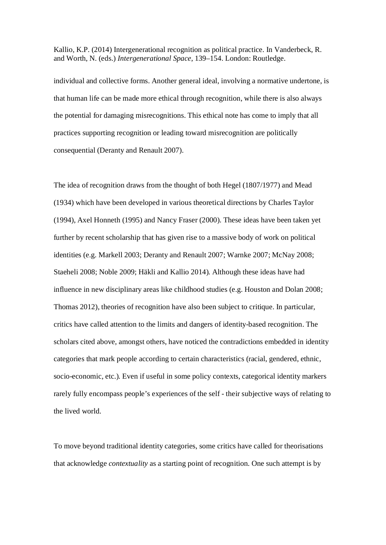individual and collective forms. Another general ideal, involving a normative undertone, is that human life can be made more ethical through recognition, while there is also always the potential for damaging misrecognitions. This ethical note has come to imply that all practices supporting recognition or leading toward misrecognition are politically consequential (Deranty and Renault 2007).

The idea of recognition draws from the thought of both Hegel (1807/1977) and Mead (1934) which have been developed in various theoretical directions by Charles Taylor (1994), Axel Honneth (1995) and Nancy Fraser (2000). These ideas have been taken yet further by recent scholarship that has given rise to a massive body of work on political identities (e.g. Markell 2003; Deranty and Renault 2007; Warnke 2007; McNay 2008; Staeheli 2008; Noble 2009; Häkli and Kallio 2014). Although these ideas have had influence in new disciplinary areas like childhood studies (e.g. Houston and Dolan 2008; Thomas 2012), theories of recognition have also been subject to critique. In particular, critics have called attention to the limits and dangers of identity-based recognition. The scholars cited above, amongst others, have noticed the contradictions embedded in identity categories that mark people according to certain characteristics (racial, gendered, ethnic, socio-economic, etc.). Even if useful in some policy contexts, categorical identity markers rarely fully encompass people's experiences of the self - their subjective ways of relating to the lived world.

To move beyond traditional identity categories, some critics have called for theorisations that acknowledge *contextuality* as a starting point of recognition. One such attempt is by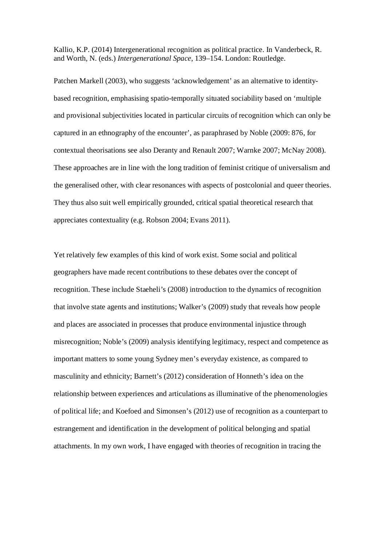Patchen Markell (2003), who suggests 'acknowledgement' as an alternative to identitybased recognition, emphasising spatio-temporally situated sociability based on 'multiple and provisional subjectivities located in particular circuits of recognition which can only be captured in an ethnography of the encounter', as paraphrased by Noble (2009: 876, for contextual theorisations see also Deranty and Renault 2007; Warnke 2007; McNay 2008). These approaches are in line with the long tradition of feminist critique of universalism and the generalised other, with clear resonances with aspects of postcolonial and queer theories. They thus also suit well empirically grounded, critical spatial theoretical research that appreciates contextuality (e.g. Robson 2004; Evans 2011).

Yet relatively few examples of this kind of work exist. Some social and political geographers have made recent contributions to these debates over the concept of recognition. These include Staeheli's (2008) introduction to the dynamics of recognition that involve state agents and institutions; Walker's (2009) study that reveals how people and places are associated in processes that produce environmental injustice through misrecognition; Noble's (2009) analysis identifying legitimacy, respect and competence as important matters to some young Sydney men's everyday existence, as compared to masculinity and ethnicity; Barnett's (2012) consideration of Honneth's idea on the relationship between experiences and articulations as illuminative of the phenomenologies of political life; and Koefoed and Simonsen's (2012) use of recognition as a counterpart to estrangement and identification in the development of political belonging and spatial attachments. In my own work, I have engaged with theories of recognition in tracing the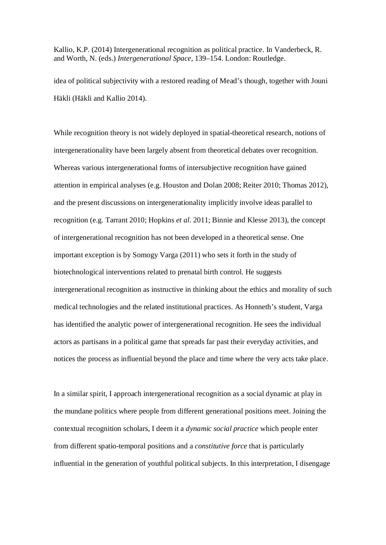idea of political subjectivity with a restored reading of Mead's though, together with Jouni Häkli (Häkli and Kallio 2014).

While recognition theory is not widely deployed in spatial-theoretical research, notions of intergenerationality have been largely absent from theoretical debates over recognition. Whereas various intergenerational forms of intersubjective recognition have gained attention in empirical analyses (e.g. Houston and Dolan 2008; Reiter 2010; Thomas 2012), and the present discussions on intergenerationality implicitly involve ideas parallel to recognition (e.g. Tarrant 2010; Hopkins *et al.* 2011; Binnie and Klesse 2013), the concept of intergenerational recognition has not been developed in a theoretical sense. One important exception is by Somogy Varga (2011) who sets it forth in the study of biotechnological interventions related to prenatal birth control. He suggests intergenerational recognition as instructive in thinking about the ethics and morality of such medical technologies and the related institutional practices. As Honneth's student, Varga has identified the analytic power of intergenerational recognition. He sees the individual actors as partisans in a political game that spreads far past their everyday activities, and notices the process as influential beyond the place and time where the very acts take place.

In a similar spirit, I approach intergenerational recognition as a social dynamic at play in the mundane politics where people from different generational positions meet. Joining the contextual recognition scholars, I deem it a *dynamic social practice* which people enter from different spatio-temporal positions and a *constitutive force* that is particularly influential in the generation of youthful political subjects. In this interpretation, I disengage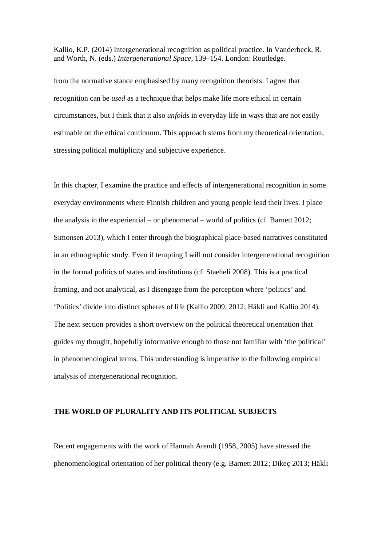from the normative stance emphasised by many recognition theorists. I agree that recognition can be *used* as a technique that helps make life more ethical in certain circumstances, but I think that it also *unfolds* in everyday life in ways that are not easily estimable on the ethical continuum. This approach stems from my theoretical orientation, stressing political multiplicity and subjective experience.

In this chapter, I examine the practice and effects of intergenerational recognition in some everyday environments where Finnish children and young people lead their lives. I place the analysis in the experiential – or phenomenal – world of politics (cf. Barnett 2012; Simonsen 2013), which I enter through the biographical place-based narratives constituted in an ethnographic study. Even if tempting I will not consider intergenerational recognition in the formal politics of states and institutions (cf. Staeheli 2008). This is a practical framing, and not analytical, as I disengage from the perception where 'politics' and 'Politics' divide into distinct spheres of life (Kallio 2009, 2012; Häkli and Kallio 2014). The next section provides a short overview on the political theoretical orientation that guides my thought, hopefully informative enough to those not familiar with 'the political' in phenomenological terms. This understanding is imperative to the following empirical analysis of intergenerational recognition.

## **THE WORLD OF PLURALITY AND ITS POLITICAL SUBJECTS**

Recent engagements with the work of Hannah Arendt (1958, 2005) have stressed the phenomenological orientation of her political theory (e.g. Barnett 2012; Dikeç 2013; Häkli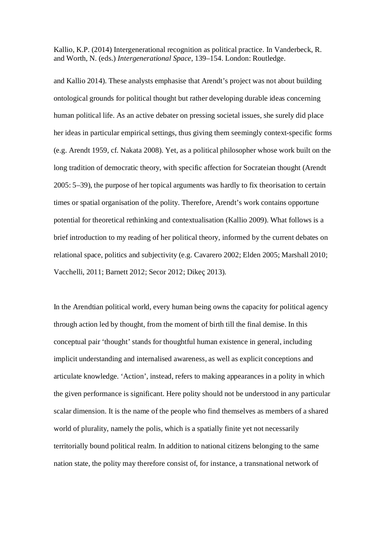and Kallio 2014). These analysts emphasise that Arendt's project was not about building ontological grounds for political thought but rather developing durable ideas concerning human political life. As an active debater on pressing societal issues, she surely did place her ideas in particular empirical settings, thus giving them seemingly context-specific forms (e.g. Arendt 1959, cf. Nakata 2008). Yet, as a political philosopher whose work built on the long tradition of democratic theory, with specific affection for Socrateian thought (Arendt 2005: 5–39), the purpose of her topical arguments was hardly to fix theorisation to certain times or spatial organisation of the polity. Therefore, Arendt's work contains opportune potential for theoretical rethinking and contextualisation (Kallio 2009). What follows is a brief introduction to my reading of her political theory, informed by the current debates on relational space, politics and subjectivity (e.g. Cavarero 2002; Elden 2005; Marshall 2010; Vacchelli, 2011; Barnett 2012; Secor 2012; Dikeç 2013).

In the Arendtian political world, every human being owns the capacity for political agency through action led by thought, from the moment of birth till the final demise. In this conceptual pair 'thought' stands for thoughtful human existence in general, including implicit understanding and internalised awareness, as well as explicit conceptions and articulate knowledge. 'Action', instead, refers to making appearances in a polity in which the given performance is significant. Here polity should not be understood in any particular scalar dimension. It is the name of the people who find themselves as members of a shared world of plurality, namely the polis, which is a spatially finite yet not necessarily territorially bound political realm. In addition to national citizens belonging to the same nation state, the polity may therefore consist of, for instance, a transnational network of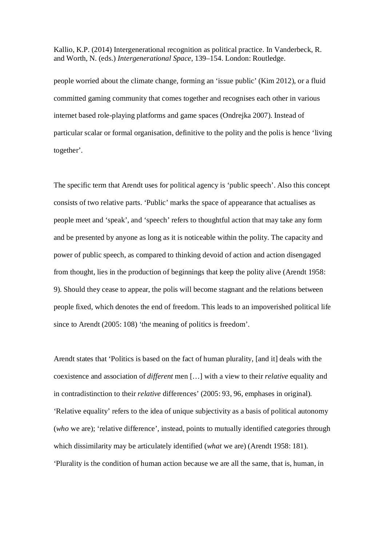people worried about the climate change, forming an 'issue public' (Kim 2012), or a fluid committed gaming community that comes together and recognises each other in various internet based role-playing platforms and game spaces (Ondrejka 2007). Instead of particular scalar or formal organisation, definitive to the polity and the polis is hence 'living together'.

The specific term that Arendt uses for political agency is 'public speech'. Also this concept consists of two relative parts. 'Public' marks the space of appearance that actualises as people meet and 'speak', and 'speech' refers to thoughtful action that may take any form and be presented by anyone as long as it is noticeable within the polity. The capacity and power of public speech, as compared to thinking devoid of action and action disengaged from thought, lies in the production of beginnings that keep the polity alive (Arendt 1958: 9). Should they cease to appear, the polis will become stagnant and the relations between people fixed, which denotes the end of freedom. This leads to an impoverished political life since to Arendt (2005: 108) 'the meaning of politics is freedom'.

Arendt states that 'Politics is based on the fact of human plurality, [and it] deals with the coexistence and association of *different* men […] with a view to their *relative* equality and in contradistinction to their *relative* differences' (2005: 93, 96, emphases in original). 'Relative equality' refers to the idea of unique subjectivity as a basis of political autonomy (*who* we are); 'relative difference', instead, points to mutually identified categories through which dissimilarity may be articulately identified (*what* we are) (Arendt 1958: 181). 'Plurality is the condition of human action because we are all the same, that is, human, in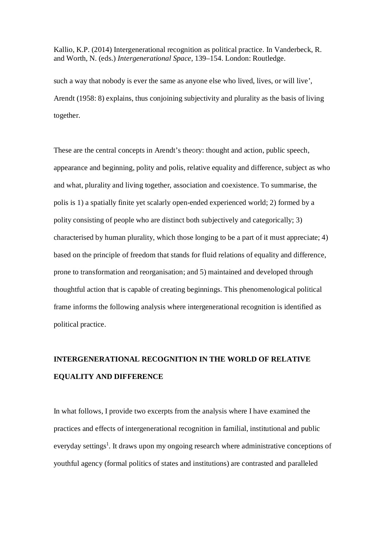such a way that nobody is ever the same as anyone else who lived, lives, or will live', Arendt (1958: 8) explains, thus conjoining subjectivity and plurality as the basis of living together.

These are the central concepts in Arendt's theory: thought and action, public speech, appearance and beginning, polity and polis, relative equality and difference, subject as who and what, plurality and living together, association and coexistence. To summarise, the polis is 1) a spatially finite yet scalarly open-ended experienced world; 2) formed by a polity consisting of people who are distinct both subjectively and categorically; 3) characterised by human plurality, which those longing to be a part of it must appreciate; 4) based on the principle of freedom that stands for fluid relations of equality and difference, prone to transformation and reorganisation; and 5) maintained and developed through thoughtful action that is capable of creating beginnings. This phenomenological political frame informs the following analysis where intergenerational recognition is identified as political practice.

# **INTERGENERATIONAL RECOGNITION IN THE WORLD OF RELATIVE EQUALITY AND DIFFERENCE**

In what follows, I provide two excerpts from the analysis where I have examined the practices and effects of intergenerational recognition in familial, institutional and public everyday settings<sup>1</sup>. It draws upon my ongoing research where administrative conceptions of youthful agency (formal politics of states and institutions) are contrasted and paralleled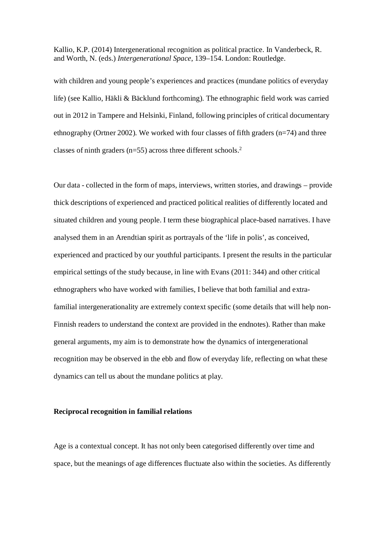with children and young people's experiences and practices (mundane politics of everyday life) (see Kallio, Häkli & Bäcklund forthcoming). The ethnographic field work was carried out in 2012 in Tampere and Helsinki, Finland, following principles of critical documentary ethnography (Ortner 2002). We worked with four classes of fifth graders  $(n=74)$  and three classes of ninth graders ( $n=55$ ) across three different schools.<sup>2</sup>

Our data - collected in the form of maps, interviews, written stories, and drawings – provide thick descriptions of experienced and practiced political realities of differently located and situated children and young people. I term these biographical place-based narratives. I have analysed them in an Arendtian spirit as portrayals of the 'life in polis', as conceived, experienced and practiced by our youthful participants. I present the results in the particular empirical settings of the study because, in line with Evans (2011: 344) and other critical ethnographers who have worked with families, I believe that both familial and extrafamilial intergenerationality are extremely context specific (some details that will help non-Finnish readers to understand the context are provided in the endnotes). Rather than make general arguments, my aim is to demonstrate how the dynamics of intergenerational recognition may be observed in the ebb and flow of everyday life, reflecting on what these dynamics can tell us about the mundane politics at play.

#### **Reciprocal recognition in familial relations**

Age is a contextual concept. It has not only been categorised differently over time and space, but the meanings of age differences fluctuate also within the societies. As differently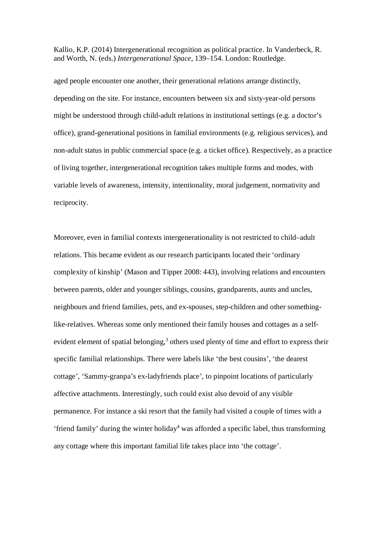aged people encounter one another, their generational relations arrange distinctly, depending on the site. For instance, encounters between six and sixty-year-old persons might be understood through child-adult relations in institutional settings (e.g. a doctor's office), grand-generational positions in familial environments (e.g. religious services), and non-adult status in public commercial space (e.g. a ticket office). Respectively, as a practice of living together, intergenerational recognition takes multiple forms and modes, with variable levels of awareness, intensity, intentionality, moral judgement, normativity and reciprocity.

Moreover, even in familial contexts intergenerationality is not restricted to child–adult relations. This became evident as our research participants located their 'ordinary complexity of kinship' (Mason and Tipper 2008: 443), involving relations and encounters between parents, older and younger siblings, cousins, grandparents, aunts and uncles, neighbours and friend families, pets, and ex-spouses, step-children and other somethinglike-relatives. Whereas some only mentioned their family houses and cottages as a selfevident element of spatial belonging,<sup>3</sup> others used plenty of time and effort to express their specific familial relationships. There were labels like 'the best cousins', 'the dearest cottage', 'Sammy-granpa's ex-ladyfriends place', to pinpoint locations of particularly affective attachments. Interestingly, such could exist also devoid of any visible permanence. For instance a ski resort that the family had visited a couple of times with a 'friend family' during the winter holiday<sup>4</sup> was afforded a specific label, thus transforming any cottage where this important familial life takes place into 'the cottage'.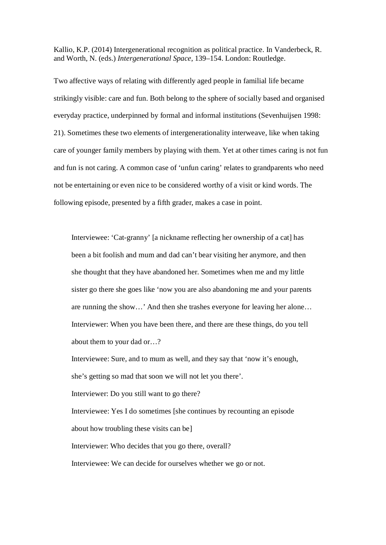Two affective ways of relating with differently aged people in familial life became strikingly visible: care and fun. Both belong to the sphere of socially based and organised everyday practice, underpinned by formal and informal institutions (Sevenhuijsen 1998: 21). Sometimes these two elements of intergenerationality interweave, like when taking care of younger family members by playing with them. Yet at other times caring is not fun and fun is not caring. A common case of 'unfun caring' relates to grandparents who need not be entertaining or even nice to be considered worthy of a visit or kind words. The following episode, presented by a fifth grader, makes a case in point.

Interviewee: 'Cat-granny' [a nickname reflecting her ownership of a cat] has been a bit foolish and mum and dad can't bear visiting her anymore, and then she thought that they have abandoned her. Sometimes when me and my little sister go there she goes like 'now you are also abandoning me and your parents are running the show…' And then she trashes everyone for leaving her alone… Interviewer: When you have been there, and there are these things, do you tell about them to your dad or…?

Interviewee: Sure, and to mum as well, and they say that 'now it's enough, she's getting so mad that soon we will not let you there'.

Interviewer: Do you still want to go there?

Interviewee: Yes I do sometimes [she continues by recounting an episode about how troubling these visits can be]

Interviewer: Who decides that you go there, overall?

Interviewee: We can decide for ourselves whether we go or not.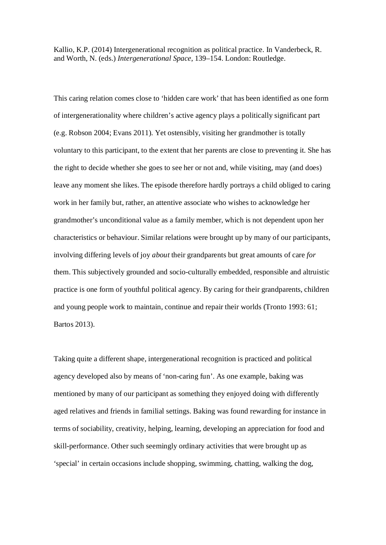This caring relation comes close to 'hidden care work' that has been identified as one form of intergenerationality where children's active agency plays a politically significant part (e.g. Robson 2004; Evans 2011). Yet ostensibly, visiting her grandmother is totally voluntary to this participant, to the extent that her parents are close to preventing it. She has the right to decide whether she goes to see her or not and, while visiting, may (and does) leave any moment she likes. The episode therefore hardly portrays a child obliged to caring work in her family but, rather, an attentive associate who wishes to acknowledge her grandmother's unconditional value as a family member, which is not dependent upon her characteristics or behaviour. Similar relations were brought up by many of our participants, involving differing levels of joy *about* their grandparents but great amounts of care *for*  them. This subjectively grounded and socio-culturally embedded, responsible and altruistic practice is one form of youthful political agency. By caring for their grandparents, children and young people work to maintain, continue and repair their worlds (Tronto 1993: 61; Bartos 2013).

Taking quite a different shape, intergenerational recognition is practiced and political agency developed also by means of 'non-caring fun'. As one example, baking was mentioned by many of our participant as something they enjoyed doing with differently aged relatives and friends in familial settings. Baking was found rewarding for instance in terms of sociability, creativity, helping, learning, developing an appreciation for food and skill-performance. Other such seemingly ordinary activities that were brought up as 'special' in certain occasions include shopping, swimming, chatting, walking the dog,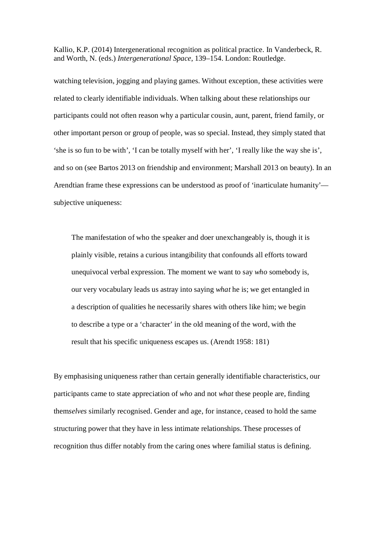watching television, jogging and playing games. Without exception, these activities were related to clearly identifiable individuals. When talking about these relationships our participants could not often reason why a particular cousin, aunt, parent, friend family, or other important person or group of people, was so special. Instead, they simply stated that 'she is so fun to be with', 'I can be totally myself with her', 'I really like the way she is', and so on (see Bartos 2013 on friendship and environment; Marshall 2013 on beauty). In an Arendtian frame these expressions can be understood as proof of 'inarticulate humanity' subjective uniqueness:

The manifestation of who the speaker and doer unexchangeably is, though it is plainly visible, retains a curious intangibility that confounds all efforts toward unequivocal verbal expression. The moment we want to say *who* somebody is, our very vocabulary leads us astray into saying *what* he is; we get entangled in a description of qualities he necessarily shares with others like him; we begin to describe a type or a 'character' in the old meaning of the word, with the result that his specific uniqueness escapes us. (Arendt 1958: 181)

By emphasising uniqueness rather than certain generally identifiable characteristics, our participants came to state appreciation of *who* and not *what* these people are, finding them*selves* similarly recognised. Gender and age, for instance, ceased to hold the same structuring power that they have in less intimate relationships. These processes of recognition thus differ notably from the caring ones where familial status is defining.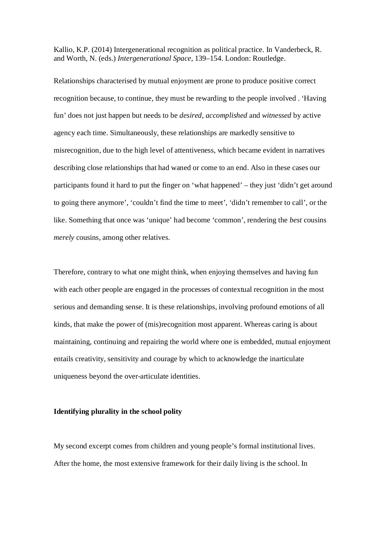Relationships characterised by mutual enjoyment are prone to produce positive correct recognition because, to continue, they must be rewarding to the people involved . 'Having fun' does not just happen but needs to be *desired*, *accomplished* and *witnessed* by active agency each time. Simultaneously, these relationships are markedly sensitive to misrecognition, due to the high level of attentiveness, which became evident in narratives describing close relationships that had waned or come to an end. Also in these cases our participants found it hard to put the finger on 'what happened' – they just 'didn't get around to going there anymore', 'couldn't find the time to meet', 'didn't remember to call', or the like. Something that once was 'unique' had become 'common', rendering the *best* cousins *merely* cousins, among other relatives.

Therefore, contrary to what one might think, when enjoying themselves and having fun with each other people are engaged in the processes of contextual recognition in the most serious and demanding sense. It is these relationships, involving profound emotions of all kinds, that make the power of (mis)recognition most apparent. Whereas caring is about maintaining, continuing and repairing the world where one is embedded, mutual enjoyment entails creativity, sensitivity and courage by which to acknowledge the inarticulate uniqueness beyond the over-articulate identities.

#### **Identifying plurality in the school polity**

My second excerpt comes from children and young people's formal institutional lives. After the home, the most extensive framework for their daily living is the school. In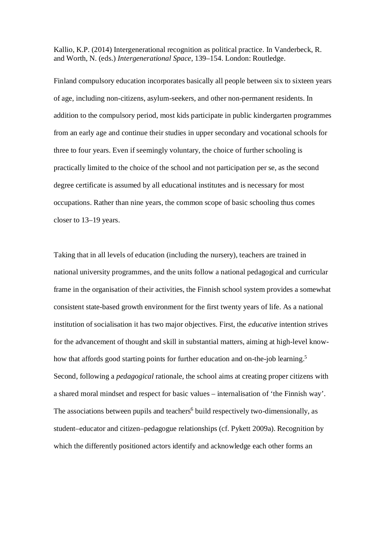Finland compulsory education incorporates basically all people between six to sixteen years of age, including non-citizens, asylum-seekers, and other non-permanent residents. In addition to the compulsory period, most kids participate in public kindergarten programmes from an early age and continue their studies in upper secondary and vocational schools for three to four years. Even if seemingly voluntary, the choice of further schooling is practically limited to the choice of the school and not participation per se, as the second degree certificate is assumed by all educational institutes and is necessary for most occupations. Rather than nine years, the common scope of basic schooling thus comes closer to 13–19 years.

Taking that in all levels of education (including the nursery), teachers are trained in national university programmes, and the units follow a national pedagogical and curricular frame in the organisation of their activities, the Finnish school system provides a somewhat consistent state-based growth environment for the first twenty years of life. As a national institution of socialisation it has two major objectives. First, the *educative* intention strives for the advancement of thought and skill in substantial matters, aiming at high-level knowhow that affords good starting points for further education and on-the-job learning.<sup>5</sup> Second, following a *pedagogical* rationale, the school aims at creating proper citizens with a shared moral mindset and respect for basic values – internalisation of 'the Finnish way'. The associations between pupils and teachers<sup>6</sup> build respectively two-dimensionally, as student–educator and citizen–pedagogue relationships (cf. Pykett 2009a). Recognition by which the differently positioned actors identify and acknowledge each other forms an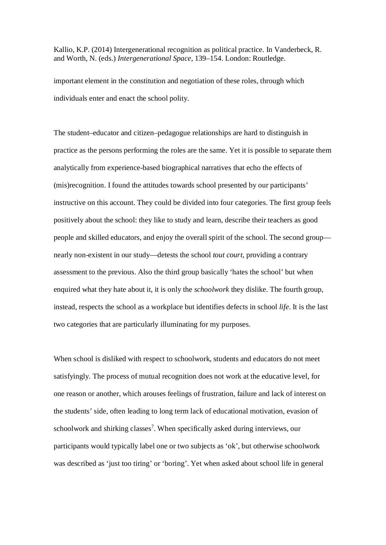important element in the constitution and negotiation of these roles, through which individuals enter and enact the school polity.

The student–educator and citizen–pedagogue relationships are hard to distinguish in practice as the persons performing the roles are the same. Yet it is possible to separate them analytically from experience-based biographical narratives that echo the effects of (mis)recognition. I found the attitudes towards school presented by our participants' instructive on this account. They could be divided into four categories. The first group feels positively about the school: they like to study and learn, describe their teachers as good people and skilled educators, and enjoy the overall spirit of the school. The second group nearly non-existent in our study—detests the school *tout court*, providing a contrary assessment to the previous. Also the third group basically 'hates the school' but when enquired what they hate about it, it is only the *schoolwork* they dislike. The fourth group, instead, respects the school as a workplace but identifies defects in school *life*. It is the last two categories that are particularly illuminating for my purposes.

When school is disliked with respect to schoolwork, students and educators do not meet satisfyingly. The process of mutual recognition does not work at the educative level, for one reason or another, which arouses feelings of frustration, failure and lack of interest on the students' side, often leading to long term lack of educational motivation, evasion of schoolwork and shirking classes<sup>7</sup>. When specifically asked during interviews, our participants would typically label one or two subjects as 'ok', but otherwise schoolwork was described as 'just too tiring' or 'boring'. Yet when asked about school life in general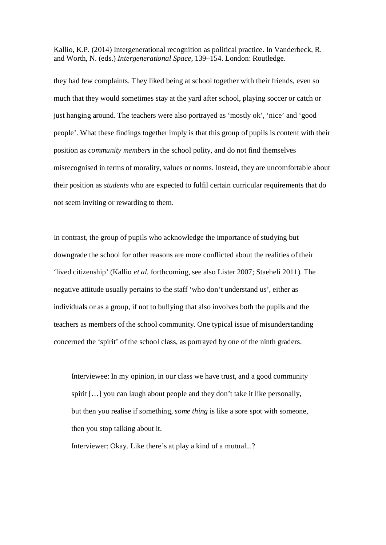they had few complaints. They liked being at school together with their friends, even so much that they would sometimes stay at the yard after school, playing soccer or catch or just hanging around. The teachers were also portrayed as 'mostly ok', 'nice' and 'good people'. What these findings together imply is that this group of pupils is content with their position as *community members* in the school polity, and do not find themselves misrecognised in terms of morality, values or norms. Instead, they are uncomfortable about their position as *students* who are expected to fulfil certain curricular requirements that do not seem inviting or rewarding to them.

In contrast, the group of pupils who acknowledge the importance of studying but downgrade the school for other reasons are more conflicted about the realities of their 'lived citizenship' (Kallio *et al.* forthcoming, see also Lister 2007; Staeheli 2011). The negative attitude usually pertains to the staff 'who don't understand us', either as individuals or as a group, if not to bullying that also involves both the pupils and the teachers as members of the school community. One typical issue of misunderstanding concerned the 'spirit' of the school class, as portrayed by one of the ninth graders.

Interviewee: In my opinion, in our class we have trust, and a good community spirit [...] you can laugh about people and they don't take it like personally, but then you realise if something, *some thing* is like a sore spot with someone, then you stop talking about it.

Interviewer: Okay. Like there's at play a kind of a mutual...?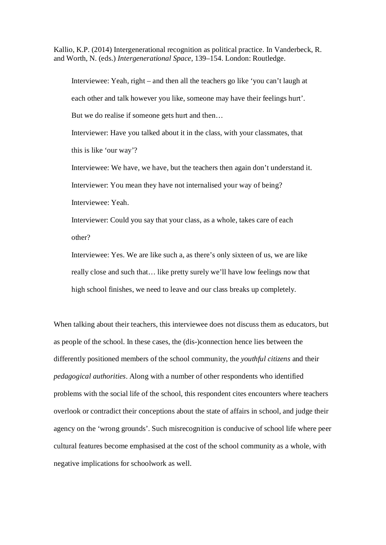Interviewee: Yeah, right – and then all the teachers go like 'you can't laugh at each other and talk however you like, someone may have their feelings hurt'. But we do realise if someone gets hurt and then… Interviewer: Have you talked about it in the class, with your classmates, that this is like 'our way'? Interviewee: We have, we have, but the teachers then again don't understand it. Interviewer: You mean they have not internalised your way of being? Interviewee: Yeah. Interviewer: Could you say that your class, as a whole, takes care of each

other?

Interviewee: Yes. We are like such a, as there's only sixteen of us, we are like really close and such that… like pretty surely we'll have low feelings now that high school finishes, we need to leave and our class breaks up completely.

When talking about their teachers, this interviewee does not discuss them as educators, but as people of the school. In these cases, the (dis-)connection hence lies between the differently positioned members of the school community, the *youthful citizens* and their *pedagogical authorities*. Along with a number of other respondents who identified problems with the social life of the school, this respondent cites encounters where teachers overlook or contradict their conceptions about the state of affairs in school, and judge their agency on the 'wrong grounds'. Such misrecognition is conducive of school life where peer cultural features become emphasised at the cost of the school community as a whole, with negative implications for schoolwork as well.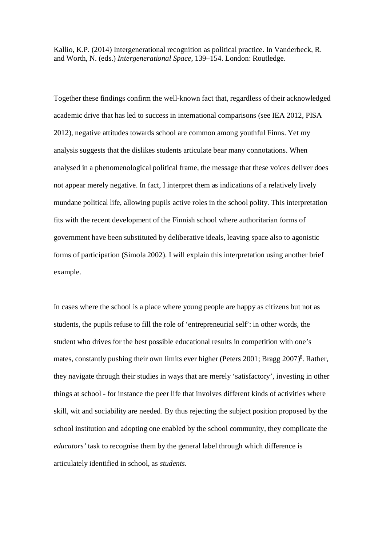Together these findings confirm the well-known fact that, regardless of their acknowledged academic drive that has led to success in international comparisons (see IEA 2012, PISA 2012), negative attitudes towards school are common among youthful Finns. Yet my analysis suggests that the dislikes students articulate bear many connotations. When analysed in a phenomenological political frame, the message that these voices deliver does not appear merely negative. In fact, I interpret them as indications of a relatively lively mundane political life, allowing pupils active roles in the school polity. This interpretation fits with the recent development of the Finnish school where authoritarian forms of government have been substituted by deliberative ideals, leaving space also to agonistic forms of participation (Simola 2002). I will explain this interpretation using another brief example.

In cases where the school is a place where young people are happy as citizens but not as students, the pupils refuse to fill the role of 'entrepreneurial self': in other words, the student who drives for the best possible educational results in competition with one's mates, constantly pushing their own limits ever higher (Peters 2001; Bragg  $2007$ )<sup>8</sup>. Rather, they navigate through their studies in ways that are merely 'satisfactory', investing in other things at school - for instance the peer life that involves different kinds of activities where skill, wit and sociability are needed. By thus rejecting the subject position proposed by the school institution and adopting one enabled by the school community, they complicate the *educators'* task to recognise them by the general label through which difference is articulately identified in school, as *students*.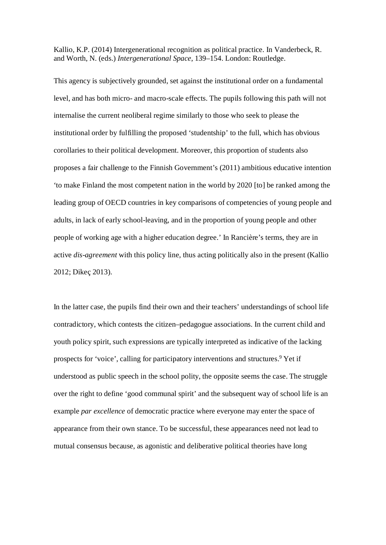This agency is subjectively grounded, set against the institutional order on a fundamental level, and has both micro- and macro-scale effects. The pupils following this path will not internalise the current neoliberal regime similarly to those who seek to please the institutional order by fulfilling the proposed 'studentship' to the full, which has obvious corollaries to their political development. Moreover, this proportion of students also proposes a fair challenge to the Finnish Government's (2011) ambitious educative intention 'to make Finland the most competent nation in the world by 2020 [to] be ranked among the leading group of OECD countries in key comparisons of competencies of young people and adults, in lack of early school-leaving, and in the proportion of young people and other people of working age with a higher education degree.' In Rancière's terms, they are in active *dis-agreement* with this policy line, thus acting politically also in the present (Kallio 2012; Dikeç 2013).

In the latter case, the pupils find their own and their teachers' understandings of school life contradictory, which contests the citizen–pedagogue associations. In the current child and youth policy spirit, such expressions are typically interpreted as indicative of the lacking prospects for 'voice', calling for participatory interventions and structures.<sup>9</sup> Yet if understood as public speech in the school polity, the opposite seems the case. The struggle over the right to define 'good communal spirit' and the subsequent way of school life is an example *par excellence* of democratic practice where everyone may enter the space of appearance from their own stance. To be successful, these appearances need not lead to mutual consensus because, as agonistic and deliberative political theories have long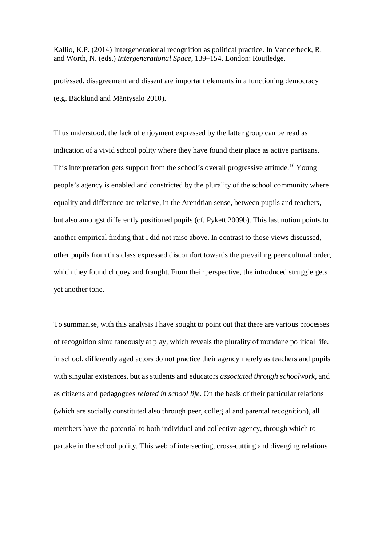professed, disagreement and dissent are important elements in a functioning democracy (e.g. Bäcklund and Mäntysalo 2010).

Thus understood, the lack of enjoyment expressed by the latter group can be read as indication of a vivid school polity where they have found their place as active partisans. This interpretation gets support from the school's overall progressive attitude.<sup>10</sup> Young people's agency is enabled and constricted by the plurality of the school community where equality and difference are relative, in the Arendtian sense, between pupils and teachers, but also amongst differently positioned pupils (cf. Pykett 2009b). This last notion points to another empirical finding that I did not raise above. In contrast to those views discussed, other pupils from this class expressed discomfort towards the prevailing peer cultural order, which they found cliquey and fraught. From their perspective, the introduced struggle gets yet another tone.

To summarise, with this analysis I have sought to point out that there are various processes of recognition simultaneously at play, which reveals the plurality of mundane political life. In school, differently aged actors do not practice their agency merely as teachers and pupils with singular existences, but as students and educators *associated through schoolwork*, and as citizens and pedagogues *related in school life*. On the basis of their particular relations (which are socially constituted also through peer, collegial and parental recognition), all members have the potential to both individual and collective agency, through which to partake in the school polity. This web of intersecting, cross-cutting and diverging relations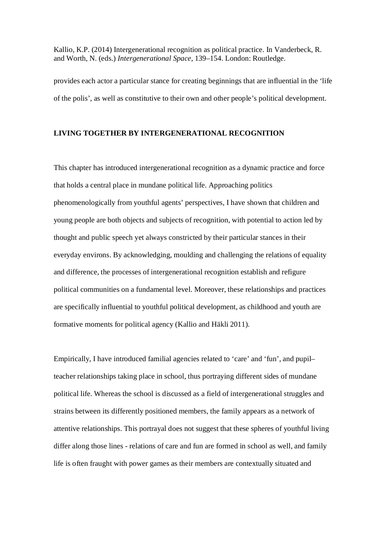provides each actor a particular stance for creating beginnings that are influential in the 'life of the polis', as well as constitutive to their own and other people's political development.

#### **LIVING TOGETHER BY INTERGENERATIONAL RECOGNITION**

This chapter has introduced intergenerational recognition as a dynamic practice and force that holds a central place in mundane political life. Approaching politics phenomenologically from youthful agents' perspectives, I have shown that children and young people are both objects and subjects of recognition, with potential to action led by thought and public speech yet always constricted by their particular stances in their everyday environs. By acknowledging, moulding and challenging the relations of equality and difference, the processes of intergenerational recognition establish and refigure political communities on a fundamental level. Moreover, these relationships and practices are specifically influential to youthful political development, as childhood and youth are formative moments for political agency (Kallio and Häkli 2011).

Empirically, I have introduced familial agencies related to 'care' and 'fun', and pupil– teacher relationships taking place in school, thus portraying different sides of mundane political life. Whereas the school is discussed as a field of intergenerational struggles and strains between its differently positioned members, the family appears as a network of attentive relationships. This portrayal does not suggest that these spheres of youthful living differ along those lines - relations of care and fun are formed in school as well, and family life is often fraught with power games as their members are contextually situated and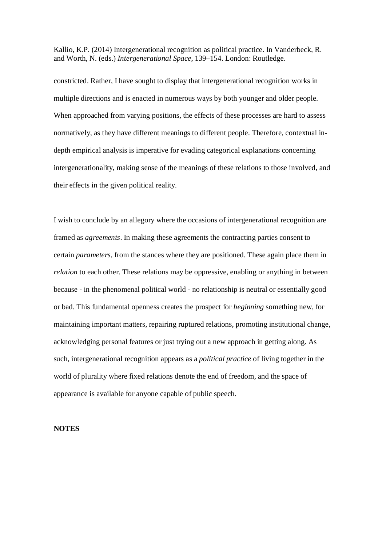constricted. Rather, I have sought to display that intergenerational recognition works in multiple directions and is enacted in numerous ways by both younger and older people. When approached from varying positions, the effects of these processes are hard to assess normatively, as they have different meanings to different people. Therefore, contextual indepth empirical analysis is imperative for evading categorical explanations concerning intergenerationality, making sense of the meanings of these relations to those involved, and their effects in the given political reality.

I wish to conclude by an allegory where the occasions of intergenerational recognition are framed as *agreements*. In making these agreements the contracting parties consent to certain *parameters*, from the stances where they are positioned. These again place them in *relation* to each other. These relations may be oppressive, enabling or anything in between because - in the phenomenal political world - no relationship is neutral or essentially good or bad. This fundamental openness creates the prospect for *beginning* something new, for maintaining important matters, repairing ruptured relations, promoting institutional change, acknowledging personal features or just trying out a new approach in getting along. As such, intergenerational recognition appears as a *political practice* of living together in the world of plurality where fixed relations denote the end of freedom, and the space of appearance is available for anyone capable of public speech.

#### **NOTES**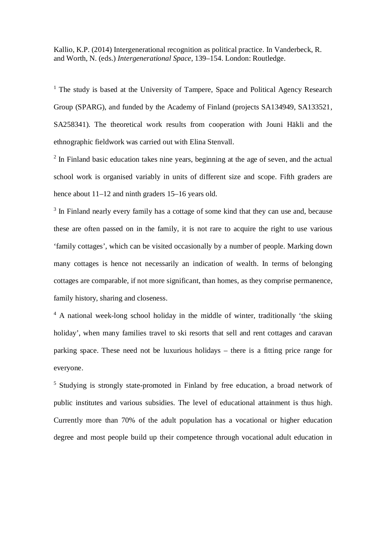<sup>1</sup> The study is based at the University of Tampere, Space and Political Agency Research Group (SPARG), and funded by the Academy of Finland (projects SA134949, SA133521, SA258341). The theoretical work results from cooperation with Jouni Häkli and the ethnographic fieldwork was carried out with Elina Stenvall.

 $2$  In Finland basic education takes nine years, beginning at the age of seven, and the actual school work is organised variably in units of different size and scope. Fifth graders are hence about  $11-12$  and ninth graders 15–16 years old.

<sup>3</sup> In Finland nearly every family has a cottage of some kind that they can use and, because these are often passed on in the family, it is not rare to acquire the right to use various 'family cottages', which can be visited occasionally by a number of people. Marking down many cottages is hence not necessarily an indication of wealth. In terms of belonging cottages are comparable, if not more significant, than homes, as they comprise permanence, family history, sharing and closeness.

<sup>4</sup> A national week-long school holiday in the middle of winter, traditionally 'the skiing holiday', when many families travel to ski resorts that sell and rent cottages and caravan parking space. These need not be luxurious holidays – there is a fitting price range for everyone.

<sup>5</sup> Studying is strongly state-promoted in Finland by free education, a broad network of public institutes and various subsidies. The level of educational attainment is thus high. Currently more than 70% of the adult population has a vocational or higher education degree and most people build up their competence through vocational adult education in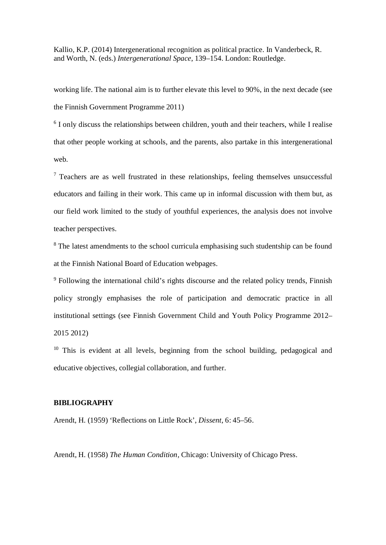working life. The national aim is to further elevate this level to 90%, in the next decade (see the Finnish Government Programme 2011)

<sup>6</sup> I only discuss the relationships between children, youth and their teachers, while I realise that other people working at schools, and the parents, also partake in this intergenerational web.

<sup>7</sup> Teachers are as well frustrated in these relationships, feeling themselves unsuccessful educators and failing in their work. This came up in informal discussion with them but, as our field work limited to the study of youthful experiences, the analysis does not involve teacher perspectives.

<sup>8</sup> The latest amendments to the school curricula emphasising such studentship can be found at the Finnish National Board of Education webpages.

<sup>9</sup> Following the international child's rights discourse and the related policy trends, Finnish policy strongly emphasises the role of participation and democratic practice in all institutional settings (see Finnish Government Child and Youth Policy Programme 2012– 2015 2012)

 $10$  This is evident at all levels, beginning from the school building, pedagogical and educative objectives, collegial collaboration, and further.

# **BIBLIOGRAPHY**

Arendt, H. (1959) 'Reflections on Little Rock', *Dissent*, 6: 45–56.

Arendt, H. (1958) *The Human Condition,* Chicago: University of Chicago Press.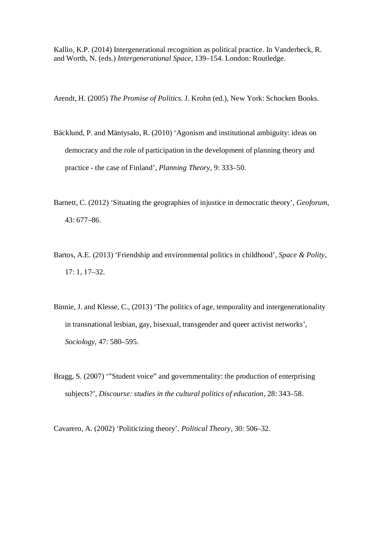Arendt, H. (2005) *The Promise of Politics.* J. Krohn (ed.), New York: Schocken Books.

- Bäcklund, P. and Mäntysalo, R. (2010) 'Agonism and institutional ambiguity: ideas on democracy and the role of participation in the development of planning theory and practice - the case of Finland', *Planning Theory*, 9: 333–50.
- Barnett, C. (2012) 'Situating the geographies of injustice in democratic theory', *Geoforum*, 43: 677–86.
- Bartos, A.E. (2013) 'Friendship and environmental politics in childhood', *Space & Polity*, 17: 1, 17–32.
- Binnie, J. and Klesse, C., (2013) 'The politics of age, temporality and intergenerationality in transnational lesbian, gay, bisexual, transgender and queer activist networks', *Sociology,* 47: 580–595.
- Bragg, S. (2007) "Student voice" and governmentality: the production of enterprising subjects?', *Discourse: studies in the cultural politics of education*, 28: 343–58.

Cavarero, A. (2002) 'Politicizing theory'. *Political Theory*, 30: 506–32.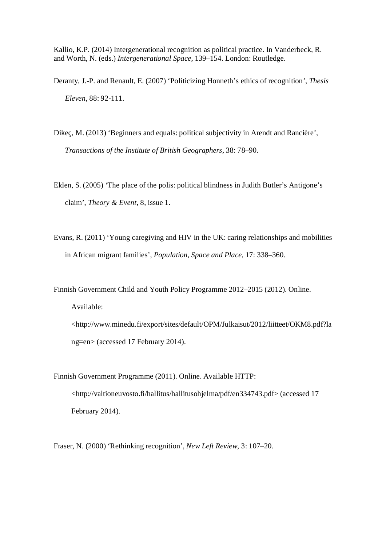Deranty, J.-P. and Renault, E. (2007) 'Politicizing Honneth's ethics of recognition', *Thesis Eleven*, 88: 92-111.

Dikeç, M. (2013) 'Beginners and equals: political subjectivity in Arendt and Rancière', *Transactions of the Institute of British Geographers*, 38: 78–90.

- Elden, S. (2005) 'The place of the polis: political blindness in Judith Butler's Antigone's claim', *Theory & Event*, 8, issue 1.
- Evans, R. (2011) 'Young caregiving and HIV in the UK: caring relationships and mobilities in African migrant families', *Population, Space and Place*, 17: 338–360.

Finnish Government Child and Youth Policy Programme 2012–2015 (2012). Online. Available: <http://www.minedu.fi/export/sites/default/OPM/Julkaisut/2012/liitteet/OKM8.pdf?la ng=en> (accessed 17 February 2014).

Finnish Government Programme (2011). Online. Available HTTP: <http://valtioneuvosto.fi/hallitus/hallitusohjelma/pdf/en334743.pdf> (accessed 17 February 2014).

Fraser, N. (2000) 'Rethinking recognition', *New Left Review*, 3: 107–20.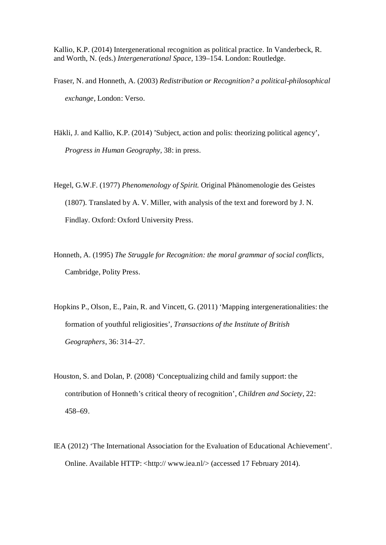- Fraser, N. and Honneth, A. (2003) *Redistribution or Recognition? a political-philosophical exchange*, London: Verso.
- Häkli, J. and Kallio, K.P. (2014) 'Subject, action and polis: theorizing political agency', *Progress in Human Geography,* 38: in press.
- Hegel, G.W.F. (1977) *Phenomenology of Spirit.* Original Phänomenologie des Geistes (1807). Translated by A. V. Miller, with analysis of the text and foreword by J. N. Findlay. Oxford: Oxford University Press.
- Honneth, A. (1995) *The Struggle for Recognition: the moral grammar of social conflicts*, Cambridge, Polity Press.
- Hopkins P., Olson, E., Pain, R. and Vincett, G. (2011) 'Mapping intergenerationalities: the formation of youthful religiosities', *Transactions of the Institute of British Geographers*, 36: 314–27.
- Houston, S. and Dolan, P. (2008) 'Conceptualizing child and family support: the contribution of Honneth's critical theory of recognition', *Children and Society*, 22: 458–69.
- IEA (2012) 'The International Association for the Evaluation of Educational Achievement'. Online. Available HTTP: <http:// www.iea.nl/> (accessed 17 February 2014).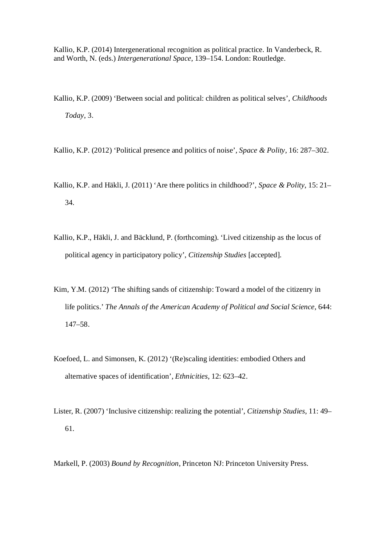- Kallio, K.P. (2009) 'Between social and political: children as political selves', *Childhoods Today*, 3.
- Kallio, K.P. (2012) 'Political presence and politics of noise', *Space & Polity*, 16: 287–302.
- Kallio, K.P. and Häkli, J. (2011) 'Are there politics in childhood?', *Space & Polity*, 15: 21– 34.
- Kallio, K.P., Häkli, J. and Bäcklund, P. (forthcoming). 'Lived citizenship as the locus of political agency in participatory policy', *Citizenship Studies* [accepted].
- Kim, Y.M. (2012) 'The shifting sands of citizenship: Toward a model of the citizenry in life politics.' *The Annals of the American Academy of Political and Social Science,* 644: 147–58.
- Koefoed, L. and Simonsen, K. (2012) '(Re)scaling identities: embodied Others and alternative spaces of identification', *Ethnicities*, 12: 623–42.
- Lister, R. (2007) 'Inclusive citizenship: realizing the potential', *Citizenship Studies*, 11: 49– 61.
- Markell, P. (2003) *Bound by Recognition*, Princeton NJ: Princeton University Press.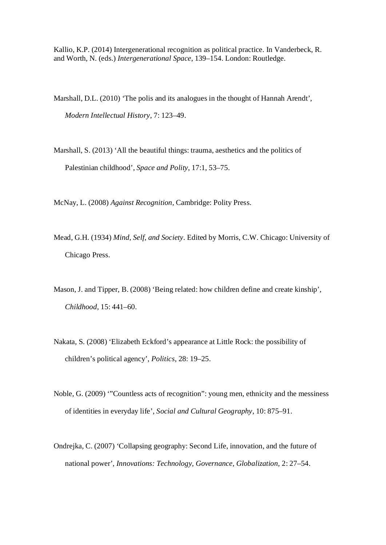Marshall, D.L. (2010) 'The polis and its analogues in the thought of Hannah Arendt', *Modern Intellectual History*, 7: 123–49.

Marshall, S. (2013) 'All the beautiful things: trauma, aesthetics and the politics of Palestinian childhood', *Space and Polity*, 17:1, 53–75.

McNay, L. (2008) *Against Recognition,* Cambridge: Polity Press.

- Mead, G.H. (1934) *Mind, Self, and Society.* Edited by Morris, C.W. Chicago: University of Chicago Press.
- Mason, J. and Tipper, B. (2008) 'Being related: how children define and create kinship', *Childhood*, 15: 441–60.
- Nakata, S. (2008) 'Elizabeth Eckford's appearance at Little Rock: the possibility of children's political agency', *Politics*, 28: 19–25.
- Noble, G. (2009) '"Countless acts of recognition": young men, ethnicity and the messiness of identities in everyday life', *Social and Cultural Geography*, 10: 875–91.
- Ondrejka, C. (2007) 'Collapsing geography: Second Life, innovation, and the future of national power', *Innovations: Technology, Governance, Globalization,* 2: 27–54.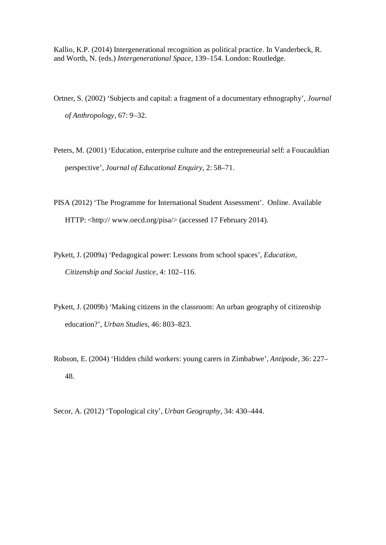- Ortner, S. (2002) 'Subjects and capital: a fragment of a documentary ethnography', *Journal of Anthropology*, 67: 9–32.
- Peters, M. (2001) 'Education, enterprise culture and the entrepreneurial self: a Foucauldian perspective', *Journal of Educational Enquiry*, 2: 58–71.
- PISA (2012) 'The Programme for International Student Assessment'. Online. Available HTTP: <http:// www.oecd.org/pisa/> (accessed 17 February 2014).
- Pykett, J. (2009a) 'Pedagogical power: Lessons from school spaces', *Education, Citizenship and Social Justice*, 4: 102–116.
- Pykett, J. (2009b) 'Making citizens in the classroom: An urban geography of citizenship education?', *Urban Studies,* 46: 803–823.
- Robson, E. (2004) 'Hidden child workers: young carers in Zimbabwe', *Antipode*, 36: 227– 48.
- Secor, A. (2012) 'Topological city', *Urban Geography*, 34: 430–444.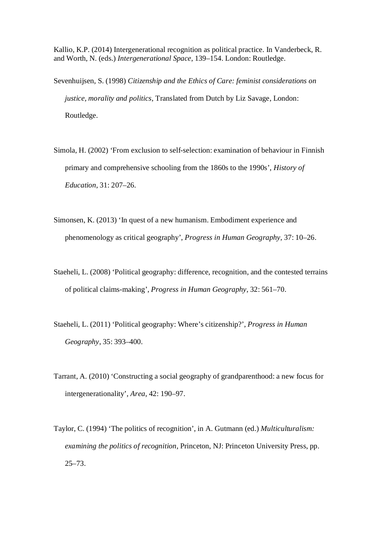Sevenhuijsen, S. (1998) *Citizenship and the Ethics of Care: feminist considerations on justice, morality and politics*, Translated from Dutch by Liz Savage, London: Routledge.

Simola, H. (2002) 'From exclusion to self-selection: examination of behaviour in Finnish primary and comprehensive schooling from the 1860s to the 1990s', *History of Education*, 31: 207–26.

- Simonsen, K. (2013) 'In quest of a new humanism. Embodiment experience and phenomenology as critical geography', *Progress in Human Geography,* 37: 10–26.
- Staeheli, L. (2008) 'Political geography: difference, recognition, and the contested terrains of political claims-making', *Progress in Human Geography*, 32: 561–70.
- Staeheli, L. (2011) 'Political geography: Where's citizenship?', *Progress in Human Geography*, 35: 393–400.
- Tarrant, A. (2010) 'Constructing a social geography of grandparenthood: a new focus for intergenerationality', *Area*, 42: 190–97.
- Taylor, C. (1994) 'The politics of recognition', in A. Gutmann (ed.) *Multiculturalism: examining the politics of recognition*, Princeton, NJ: Princeton University Press, pp. 25–73.